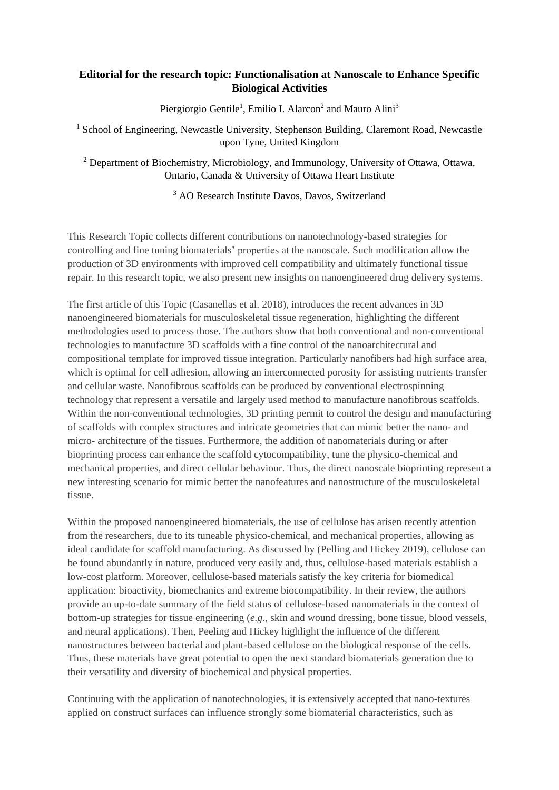## **Editorial for the research topic: Functionalisation at Nanoscale to Enhance Specific Biological Activities**

Piergiorgio Gentile<sup>1</sup>, Emilio I. Alarcon<sup>2</sup> and Mauro Alini<sup>3</sup>

<sup>1</sup> School of Engineering, Newcastle University, Stephenson Building, Claremont Road, Newcastle upon Tyne, United Kingdom

<sup>2</sup> Department of Biochemistry, Microbiology, and Immunology, University of Ottawa, Ottawa, Ontario, Canada & University of Ottawa Heart Institute

<sup>3</sup> AO Research Institute Davos, Davos, Switzerland

This Research Topic collects different contributions on nanotechnology-based strategies for controlling and fine tuning biomaterials' properties at the nanoscale. Such modification allow the production of 3D environments with improved cell compatibility and ultimately functional tissue repair. In this research topic, we also present new insights on nanoengineered drug delivery systems.

The first article of this Topic (Casanellas et al. 2018), introduces the recent advances in 3D nanoengineered biomaterials for musculoskeletal tissue regeneration, highlighting the different methodologies used to process those. The authors show that both conventional and non-conventional technologies to manufacture 3D scaffolds with a fine control of the nanoarchitectural and compositional template for improved tissue integration. Particularly nanofibers had high surface area, which is optimal for cell adhesion, allowing an interconnected porosity for assisting nutrients transfer and cellular waste. Nanofibrous scaffolds can be produced by conventional electrospinning technology that represent a versatile and largely used method to manufacture nanofibrous scaffolds. Within the non-conventional technologies, 3D printing permit to control the design and manufacturing of scaffolds with complex structures and intricate geometries that can mimic better the nano- and micro- architecture of the tissues. Furthermore, the addition of nanomaterials during or after bioprinting process can enhance the scaffold cytocompatibility, tune the physico-chemical and mechanical properties, and direct cellular behaviour. Thus, the direct nanoscale bioprinting represent a new interesting scenario for mimic better the nanofeatures and nanostructure of the musculoskeletal tissue.

Within the proposed nanoengineered biomaterials, the use of cellulose has arisen recently attention from the researchers, due to its tuneable physico-chemical, and mechanical properties, allowing as ideal candidate for scaffold manufacturing. As discussed by (Pelling and Hickey 2019), cellulose can be found abundantly in nature, produced very easily and, thus, cellulose-based materials establish a low-cost platform. Moreover, cellulose-based materials satisfy the key criteria for biomedical application: bioactivity, biomechanics and extreme biocompatibility. In their review, the authors provide an up-to-date summary of the field status of cellulose-based nanomaterials in the context of bottom-up strategies for tissue engineering (*e.g.*, skin and wound dressing, bone tissue, blood vessels, and neural applications). Then, Peeling and Hickey highlight the influence of the different nanostructures between bacterial and plant-based cellulose on the biological response of the cells. Thus, these materials have great potential to open the next standard biomaterials generation due to their versatility and diversity of biochemical and physical properties.

Continuing with the application of nanotechnologies, it is extensively accepted that nano-textures applied on construct surfaces can influence strongly some biomaterial characteristics, such as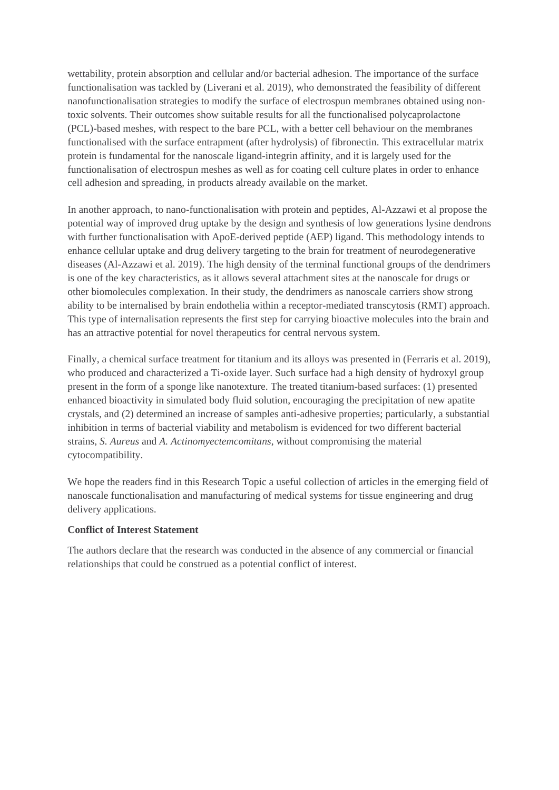wettability, protein absorption and cellular and/or bacterial adhesion. The importance of the surface functionalisation was tackled by (Liverani et al. 2019), who demonstrated the feasibility of different nanofunctionalisation strategies to modify the surface of electrospun membranes obtained using nontoxic solvents. Their outcomes show suitable results for all the functionalised polycaprolactone (PCL)-based meshes, with respect to the bare PCL, with a better cell behaviour on the membranes functionalised with the surface entrapment (after hydrolysis) of fibronectin. This extracellular matrix protein is fundamental for the nanoscale ligand-integrin affinity, and it is largely used for the functionalisation of electrospun meshes as well as for coating cell culture plates in order to enhance cell adhesion and spreading, in products already available on the market.

In another approach, to nano-functionalisation with protein and peptides, Al-Azzawi et al propose the potential way of improved drug uptake by the design and synthesis of low generations lysine dendrons with further functionalisation with ApoE-derived peptide (AEP) ligand. This methodology intends to enhance cellular uptake and drug delivery targeting to the brain for treatment of neurodegenerative diseases (Al-Azzawi et al. 2019). The high density of the terminal functional groups of the dendrimers is one of the key characteristics, as it allows several attachment sites at the nanoscale for drugs or other biomolecules complexation. In their study, the dendrimers as nanoscale carriers show strong ability to be internalised by brain endothelia within a receptor-mediated transcytosis (RMT) approach. This type of internalisation represents the first step for carrying bioactive molecules into the brain and has an attractive potential for novel therapeutics for central nervous system.

Finally, a chemical surface treatment for titanium and its alloys was presented in (Ferraris et al. 2019), who produced and characterized a Ti-oxide layer. Such surface had a high density of hydroxyl group present in the form of a sponge like nanotexture. The treated titanium-based surfaces: (1) presented enhanced bioactivity in simulated body fluid solution, encouraging the precipitation of new apatite crystals, and (2) determined an increase of samples anti-adhesive properties; particularly, a substantial inhibition in terms of bacterial viability and metabolism is evidenced for two different bacterial strains, *S. Aureus* and *A. Actinomyectemcomitans*, without compromising the material cytocompatibility.

We hope the readers find in this Research Topic a useful collection of articles in the emerging field of nanoscale functionalisation and manufacturing of medical systems for tissue engineering and drug delivery applications.

## **Conflict of Interest Statement**

The authors declare that the research was conducted in the absence of any commercial or financial relationships that could be construed as a potential conflict of interest.